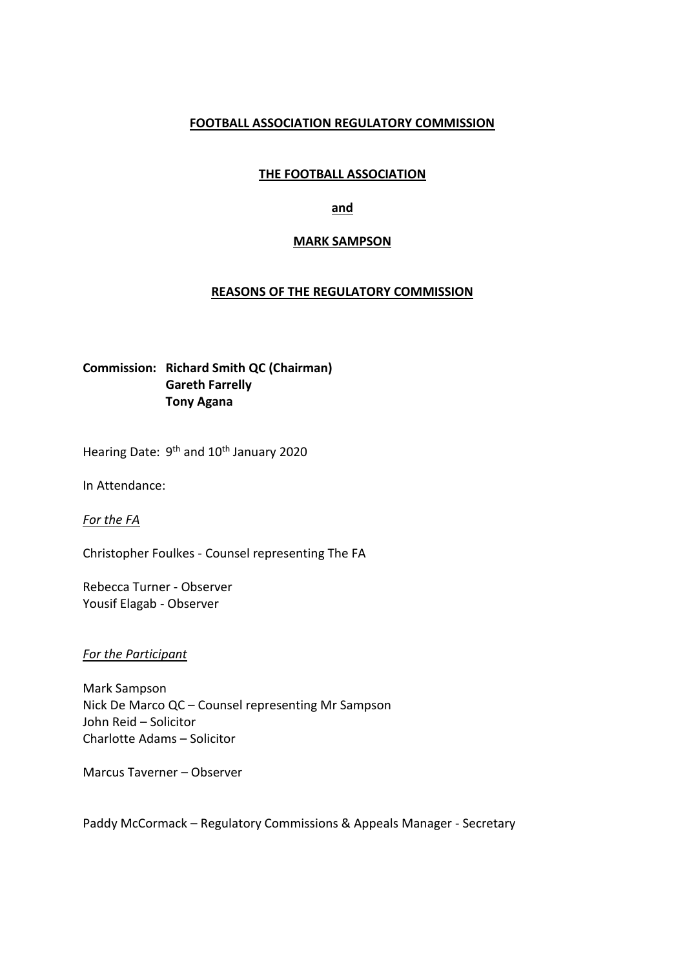## **FOOTBALL ASSOCIATION REGULATORY COMMISSION**

# **THE FOOTBALL ASSOCIATION**

## **and**

## **MARK SAMPSON**

## **REASONS OF THE REGULATORY COMMISSION**

# **Commission: Richard Smith QC (Chairman) Gareth Farrelly Tony Agana**

Hearing Date: 9<sup>th</sup> and 10<sup>th</sup> January 2020

In Attendance:

*For the FA*

Christopher Foulkes - Counsel representing The FA

Rebecca Turner - Observer Yousif Elagab - Observer

#### *For the Participant*

Mark Sampson Nick De Marco QC – Counsel representing Mr Sampson John Reid – Solicitor Charlotte Adams – Solicitor

Marcus Taverner – Observer

Paddy McCormack – Regulatory Commissions & Appeals Manager - Secretary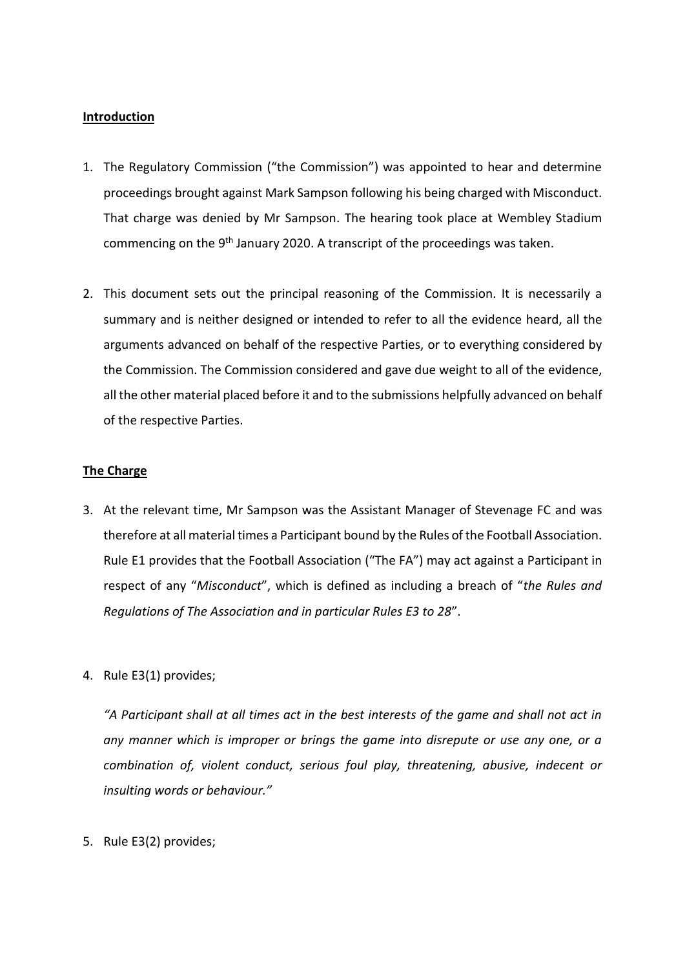### **Introduction**

- 1. The Regulatory Commission ("the Commission") was appointed to hear and determine proceedings brought against Mark Sampson following his being charged with Misconduct. That charge was denied by Mr Sampson. The hearing took place at Wembley Stadium commencing on the 9<sup>th</sup> January 2020. A transcript of the proceedings was taken.
- 2. This document sets out the principal reasoning of the Commission. It is necessarily a summary and is neither designed or intended to refer to all the evidence heard, all the arguments advanced on behalf of the respective Parties, or to everything considered by the Commission. The Commission considered and gave due weight to all of the evidence, all the other material placed before it and to the submissions helpfully advanced on behalf of the respective Parties.

### **The Charge**

- 3. At the relevant time, Mr Sampson was the Assistant Manager of Stevenage FC and was therefore at all material times a Participant bound by the Rules of the Football Association. Rule E1 provides that the Football Association ("The FA") may act against a Participant in respect of any "*Misconduct*", which is defined as including a breach of "*the Rules and Regulations of The Association and in particular Rules E3 to 28*".
- 4. Rule E3(1) provides;

*"A Participant shall at all times act in the best interests of the game and shall not act in any manner which is improper or brings the game into disrepute or use any one, or a combination of, violent conduct, serious foul play, threatening, abusive, indecent or insulting words or behaviour."* 

5. Rule E3(2) provides;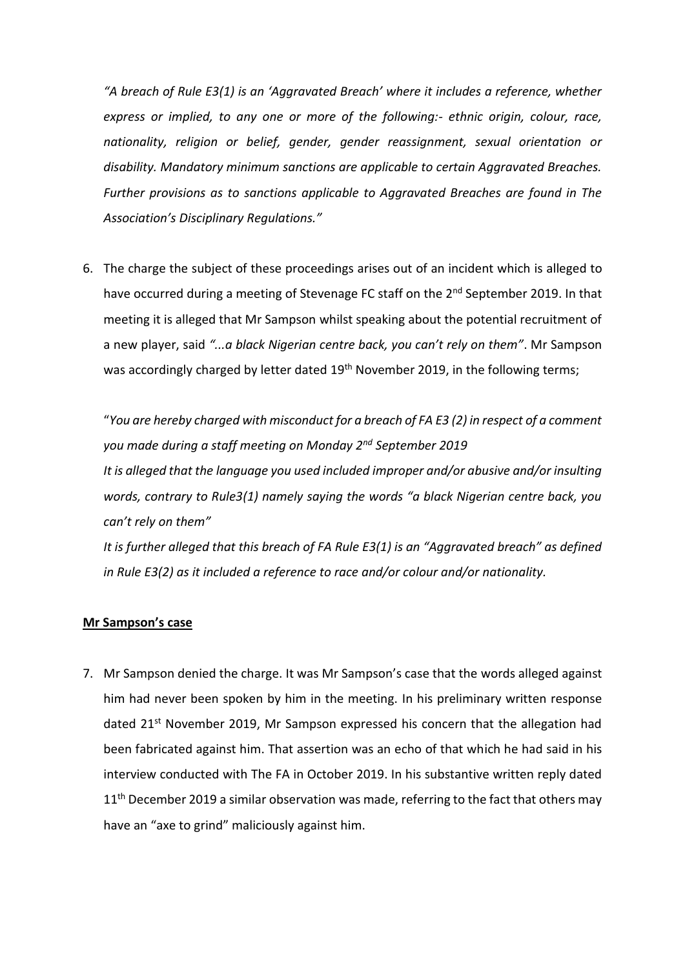*"A breach of Rule E3(1) is an 'Aggravated Breach' where it includes a reference, whether express or implied, to any one or more of the following:- ethnic origin, colour, race, nationality, religion or belief, gender, gender reassignment, sexual orientation or disability. Mandatory minimum sanctions are applicable to certain Aggravated Breaches. Further provisions as to sanctions applicable to Aggravated Breaches are found in The Association's Disciplinary Regulations."* 

6. The charge the subject of these proceedings arises out of an incident which is alleged to have occurred during a meeting of Stevenage FC staff on the 2<sup>nd</sup> September 2019. In that meeting it is alleged that Mr Sampson whilst speaking about the potential recruitment of a new player, said *"...a black Nigerian centre back, you can't rely on them"*. Mr Sampson was accordingly charged by letter dated 19<sup>th</sup> November 2019, in the following terms;

"*You are hereby charged with misconduct for a breach of FA E3 (2) in respect of a comment you made during a staff meeting on Monday 2nd September 2019 It is alleged that the language you used included improper and/or abusive and/or insulting words, contrary to Rule3(1) namely saying the words "a black Nigerian centre back, you can't rely on them"*

*It is further alleged that this breach of FA Rule E3(1) is an "Aggravated breach" as defined in Rule E3(2) as it included a reference to race and/or colour and/or nationality.*

#### **Mr Sampson's case**

7. Mr Sampson denied the charge. It was Mr Sampson's case that the words alleged against him had never been spoken by him in the meeting. In his preliminary written response dated 21st November 2019, Mr Sampson expressed his concern that the allegation had been fabricated against him. That assertion was an echo of that which he had said in his interview conducted with The FA in October 2019. In his substantive written reply dated  $11<sup>th</sup>$  December 2019 a similar observation was made, referring to the fact that others may have an "axe to grind" maliciously against him.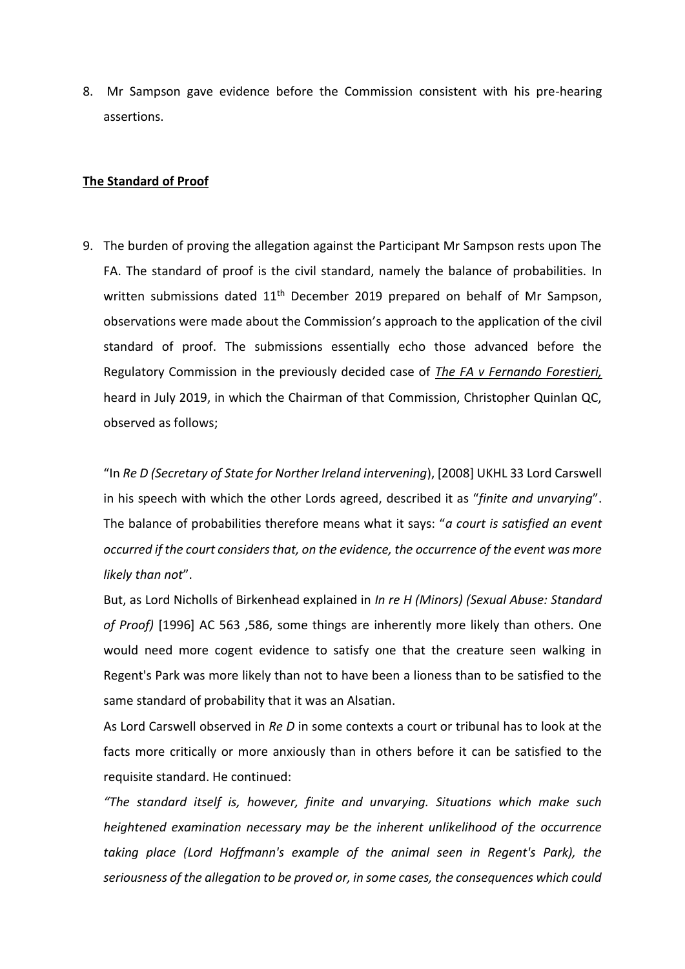8. Mr Sampson gave evidence before the Commission consistent with his pre-hearing assertions.

#### **The Standard of Proof**

9. The burden of proving the allegation against the Participant Mr Sampson rests upon The FA. The standard of proof is the civil standard, namely the balance of probabilities. In written submissions dated 11<sup>th</sup> December 2019 prepared on behalf of Mr Sampson, observations were made about the Commission's approach to the application of the civil standard of proof. The submissions essentially echo those advanced before the Regulatory Commission in the previously decided case of *The FA v Fernando Forestieri,* heard in July 2019, in which the Chairman of that Commission, Christopher Quinlan QC, observed as follows;

"In *Re D (Secretary of State for Norther Ireland intervening*), [2008] UKHL 33 Lord Carswell in his speech with which the other Lords agreed, described it as "*finite and unvarying*". The balance of probabilities therefore means what it says: "*a court is satisfied an event occurred if the court considers that, on the evidence, the occurrence of the event was more likely than not*".

But, as Lord Nicholls of Birkenhead explained in *In re H (Minors) (Sexual Abuse: Standard of Proof)* [1996] AC 563 ,586, some things are inherently more likely than others. One would need more cogent evidence to satisfy one that the creature seen walking in Regent's Park was more likely than not to have been a lioness than to be satisfied to the same standard of probability that it was an Alsatian.

As Lord Carswell observed in *Re D* in some contexts a court or tribunal has to look at the facts more critically or more anxiously than in others before it can be satisfied to the requisite standard. He continued:

*"The standard itself is, however, finite and unvarying. Situations which make such heightened examination necessary may be the inherent unlikelihood of the occurrence taking place (Lord Hoffmann's example of the animal seen in Regent's Park), the seriousness of the allegation to be proved or, in some cases, the consequences which could*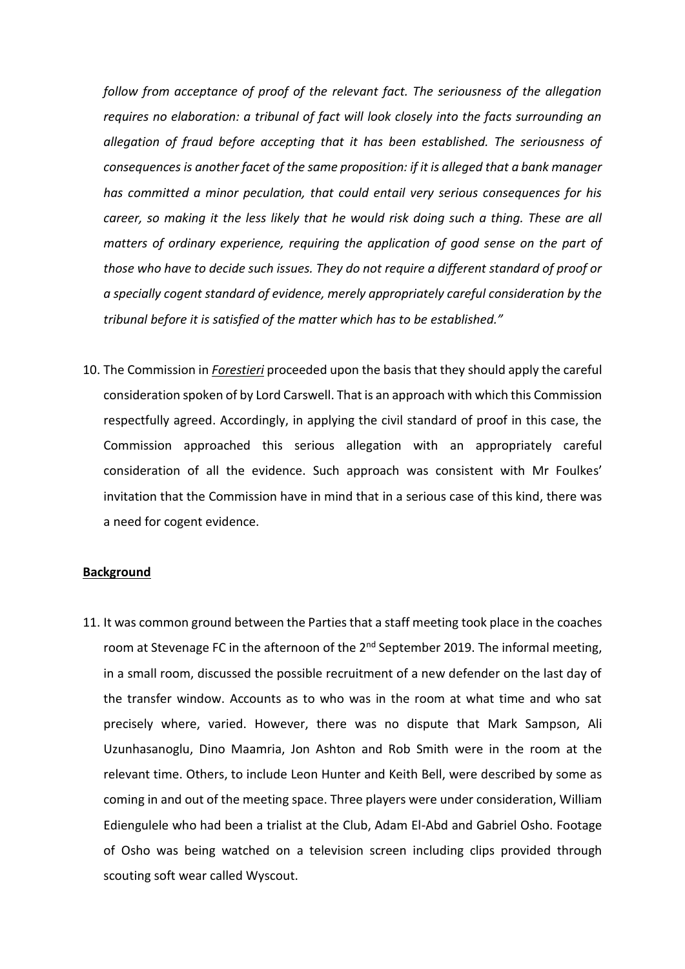*follow from acceptance of proof of the relevant fact. The seriousness of the allegation requires no elaboration: a tribunal of fact will look closely into the facts surrounding an allegation of fraud before accepting that it has been established. The seriousness of consequences is another facet of the same proposition: if it is alleged that a bank manager has committed a minor peculation, that could entail very serious consequences for his career, so making it the less likely that he would risk doing such a thing. These are all matters of ordinary experience, requiring the application of good sense on the part of those who have to decide such issues. They do not require a different standard of proof or a specially cogent standard of evidence, merely appropriately careful consideration by the tribunal before it is satisfied of the matter which has to be established."*

10. The Commission in *Forestieri* proceeded upon the basis that they should apply the careful consideration spoken of by Lord Carswell. That is an approach with which this Commission respectfully agreed. Accordingly, in applying the civil standard of proof in this case, the Commission approached this serious allegation with an appropriately careful consideration of all the evidence. Such approach was consistent with Mr Foulkes' invitation that the Commission have in mind that in a serious case of this kind, there was a need for cogent evidence.

## **Background**

11. It was common ground between the Parties that a staff meeting took place in the coaches room at Stevenage FC in the afternoon of the 2<sup>nd</sup> September 2019. The informal meeting, in a small room, discussed the possible recruitment of a new defender on the last day of the transfer window. Accounts as to who was in the room at what time and who sat precisely where, varied. However, there was no dispute that Mark Sampson, Ali Uzunhasanoglu, Dino Maamria, Jon Ashton and Rob Smith were in the room at the relevant time. Others, to include Leon Hunter and Keith Bell, were described by some as coming in and out of the meeting space. Three players were under consideration, William Ediengulele who had been a trialist at the Club, Adam El-Abd and Gabriel Osho. Footage of Osho was being watched on a television screen including clips provided through scouting soft wear called Wyscout.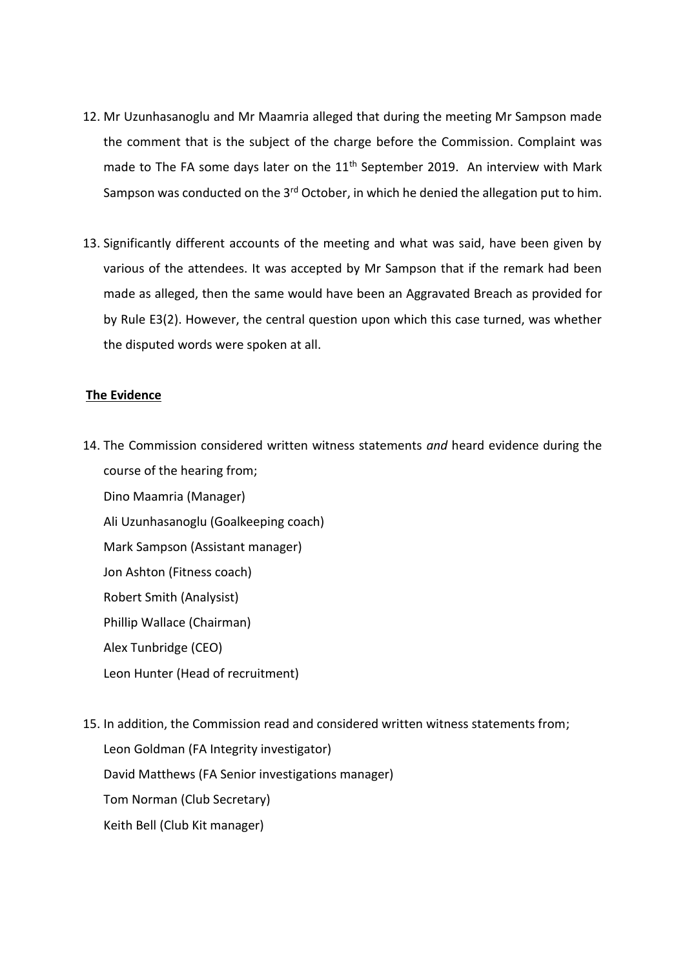- 12. Mr Uzunhasanoglu and Mr Maamria alleged that during the meeting Mr Sampson made the comment that is the subject of the charge before the Commission. Complaint was made to The FA some days later on the  $11<sup>th</sup>$  September 2019. An interview with Mark Sampson was conducted on the  $3<sup>rd</sup>$  October, in which he denied the allegation put to him.
- 13. Significantly different accounts of the meeting and what was said, have been given by various of the attendees. It was accepted by Mr Sampson that if the remark had been made as alleged, then the same would have been an Aggravated Breach as provided for by Rule E3(2). However, the central question upon which this case turned, was whether the disputed words were spoken at all.

#### **The Evidence**

14. The Commission considered written witness statements *and* heard evidence during the course of the hearing from;

Dino Maamria (Manager) Ali Uzunhasanoglu (Goalkeeping coach) Mark Sampson (Assistant manager) Jon Ashton (Fitness coach) Robert Smith (Analysist) Phillip Wallace (Chairman) Alex Tunbridge (CEO) Leon Hunter (Head of recruitment)

15. In addition, the Commission read and considered written witness statements from; Leon Goldman (FA Integrity investigator) David Matthews (FA Senior investigations manager) Tom Norman (Club Secretary) Keith Bell (Club Kit manager)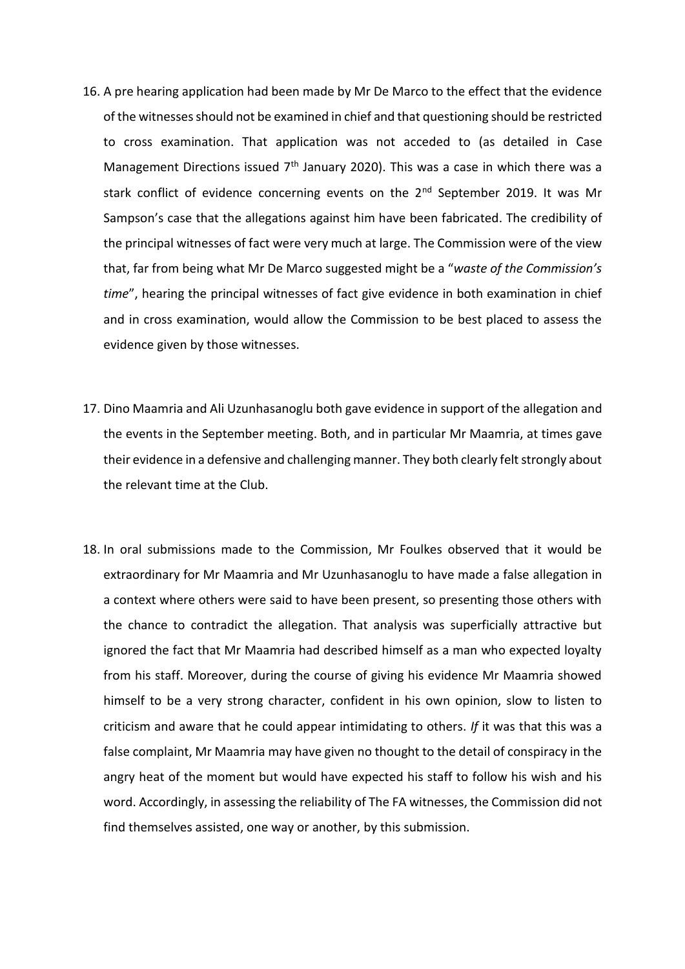- 16. A pre hearing application had been made by Mr De Marco to the effect that the evidence of the witnesses should not be examined in chief and that questioning should be restricted to cross examination. That application was not acceded to (as detailed in Case Management Directions issued  $7<sup>th</sup>$  January 2020). This was a case in which there was a stark conflict of evidence concerning events on the  $2<sup>nd</sup>$  September 2019. It was Mr Sampson's case that the allegations against him have been fabricated. The credibility of the principal witnesses of fact were very much at large. The Commission were of the view that, far from being what Mr De Marco suggested might be a "*waste of the Commission's time*", hearing the principal witnesses of fact give evidence in both examination in chief and in cross examination, would allow the Commission to be best placed to assess the evidence given by those witnesses.
- 17. Dino Maamria and Ali Uzunhasanoglu both gave evidence in support of the allegation and the events in the September meeting. Both, and in particular Mr Maamria, at times gave their evidence in a defensive and challenging manner. They both clearly felt strongly about the relevant time at the Club.
- 18. In oral submissions made to the Commission, Mr Foulkes observed that it would be extraordinary for Mr Maamria and Mr Uzunhasanoglu to have made a false allegation in a context where others were said to have been present, so presenting those others with the chance to contradict the allegation. That analysis was superficially attractive but ignored the fact that Mr Maamria had described himself as a man who expected loyalty from his staff. Moreover, during the course of giving his evidence Mr Maamria showed himself to be a very strong character, confident in his own opinion, slow to listen to criticism and aware that he could appear intimidating to others. *If* it was that this was a false complaint, Mr Maamria may have given no thought to the detail of conspiracy in the angry heat of the moment but would have expected his staff to follow his wish and his word. Accordingly, in assessing the reliability of The FA witnesses, the Commission did not find themselves assisted, one way or another, by this submission.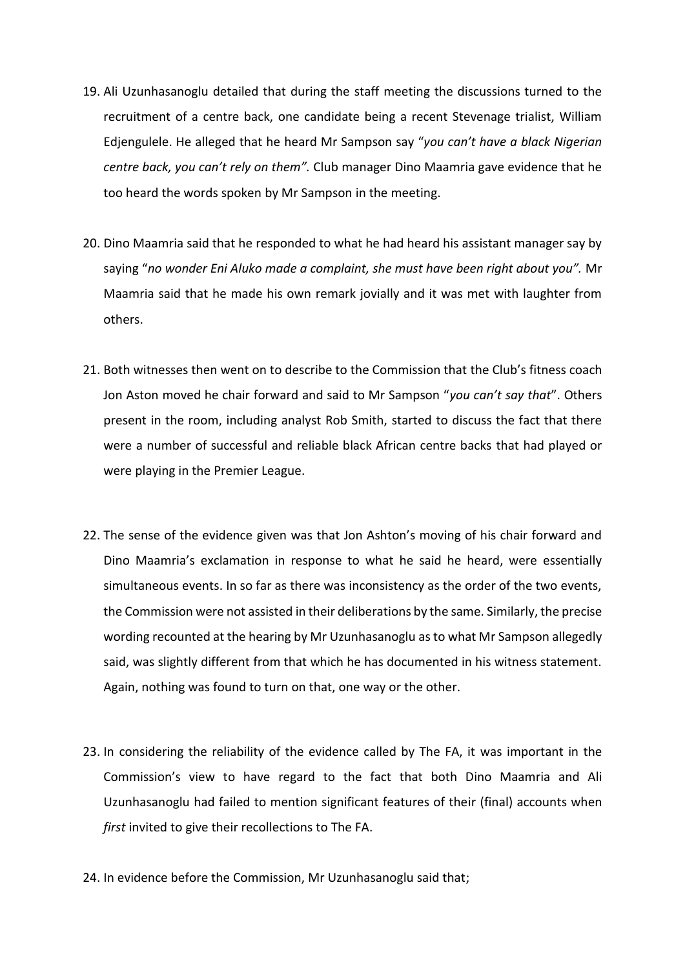- 19. Ali Uzunhasanoglu detailed that during the staff meeting the discussions turned to the recruitment of a centre back, one candidate being a recent Stevenage trialist, William Edjengulele. He alleged that he heard Mr Sampson say "*you can't have a black Nigerian centre back, you can't rely on them".* Club manager Dino Maamria gave evidence that he too heard the words spoken by Mr Sampson in the meeting.
- 20. Dino Maamria said that he responded to what he had heard his assistant manager say by saying "*no wonder Eni Aluko made a complaint, she must have been right about you".* Mr Maamria said that he made his own remark jovially and it was met with laughter from others.
- 21. Both witnesses then went on to describe to the Commission that the Club's fitness coach Jon Aston moved he chair forward and said to Mr Sampson "*you can't say that*". Others present in the room, including analyst Rob Smith, started to discuss the fact that there were a number of successful and reliable black African centre backs that had played or were playing in the Premier League.
- 22. The sense of the evidence given was that Jon Ashton's moving of his chair forward and Dino Maamria's exclamation in response to what he said he heard, were essentially simultaneous events. In so far as there was inconsistency as the order of the two events, the Commission were not assisted in their deliberations by the same. Similarly, the precise wording recounted at the hearing by Mr Uzunhasanoglu as to what Mr Sampson allegedly said, was slightly different from that which he has documented in his witness statement. Again, nothing was found to turn on that, one way or the other.
- 23. In considering the reliability of the evidence called by The FA, it was important in the Commission's view to have regard to the fact that both Dino Maamria and Ali Uzunhasanoglu had failed to mention significant features of their (final) accounts when *first* invited to give their recollections to The FA.
- 24. In evidence before the Commission, Mr Uzunhasanoglu said that;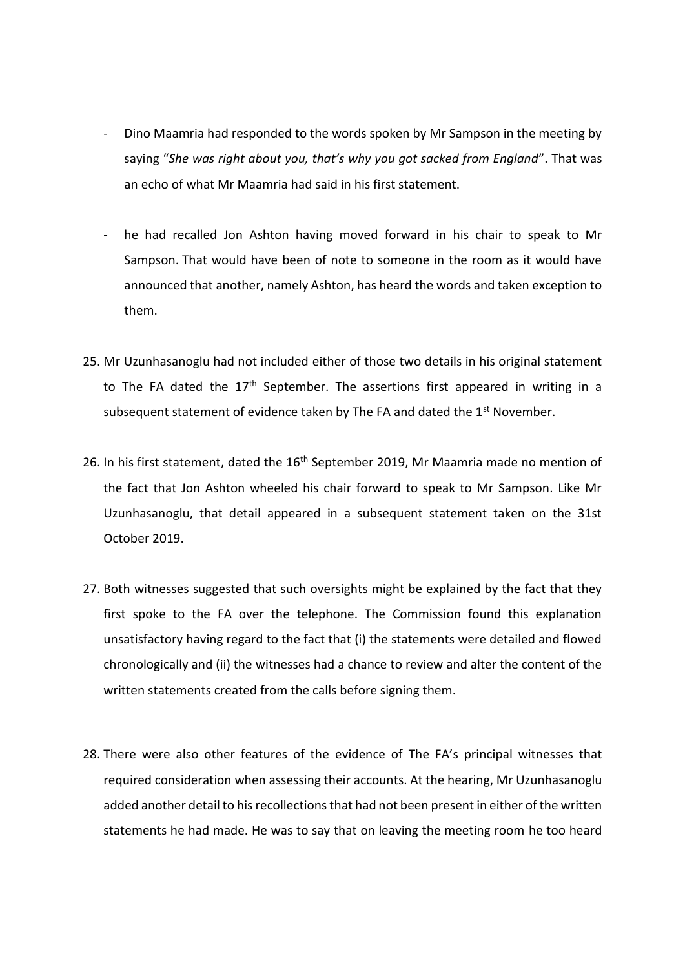- Dino Maamria had responded to the words spoken by Mr Sampson in the meeting by saying "*She was right about you, that's why you got sacked from England*". That was an echo of what Mr Maamria had said in his first statement.
- he had recalled Jon Ashton having moved forward in his chair to speak to Mr Sampson. That would have been of note to someone in the room as it would have announced that another, namely Ashton, has heard the words and taken exception to them.
- 25. Mr Uzunhasanoglu had not included either of those two details in his original statement to The FA dated the  $17<sup>th</sup>$  September. The assertions first appeared in writing in a subsequent statement of evidence taken by The FA and dated the  $1<sup>st</sup>$  November.
- 26. In his first statement, dated the 16<sup>th</sup> September 2019, Mr Maamria made no mention of the fact that Jon Ashton wheeled his chair forward to speak to Mr Sampson. Like Mr Uzunhasanoglu, that detail appeared in a subsequent statement taken on the 31st October 2019.
- 27. Both witnesses suggested that such oversights might be explained by the fact that they first spoke to the FA over the telephone. The Commission found this explanation unsatisfactory having regard to the fact that (i) the statements were detailed and flowed chronologically and (ii) the witnesses had a chance to review and alter the content of the written statements created from the calls before signing them.
- 28. There were also other features of the evidence of The FA's principal witnesses that required consideration when assessing their accounts. At the hearing, Mr Uzunhasanoglu added another detail to his recollections that had not been present in either of the written statements he had made. He was to say that on leaving the meeting room he too heard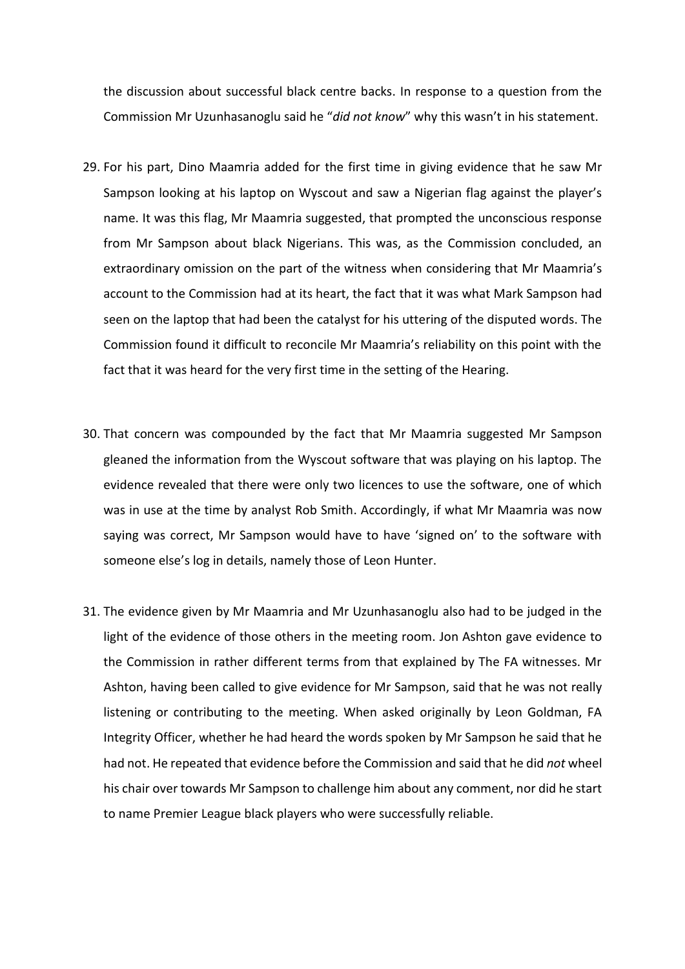the discussion about successful black centre backs. In response to a question from the Commission Mr Uzunhasanoglu said he "*did not know*" why this wasn't in his statement.

- 29. For his part, Dino Maamria added for the first time in giving evidence that he saw Mr Sampson looking at his laptop on Wyscout and saw a Nigerian flag against the player's name. It was this flag, Mr Maamria suggested, that prompted the unconscious response from Mr Sampson about black Nigerians. This was, as the Commission concluded, an extraordinary omission on the part of the witness when considering that Mr Maamria's account to the Commission had at its heart, the fact that it was what Mark Sampson had seen on the laptop that had been the catalyst for his uttering of the disputed words. The Commission found it difficult to reconcile Mr Maamria's reliability on this point with the fact that it was heard for the very first time in the setting of the Hearing.
- 30. That concern was compounded by the fact that Mr Maamria suggested Mr Sampson gleaned the information from the Wyscout software that was playing on his laptop. The evidence revealed that there were only two licences to use the software, one of which was in use at the time by analyst Rob Smith. Accordingly, if what Mr Maamria was now saying was correct, Mr Sampson would have to have 'signed on' to the software with someone else's log in details, namely those of Leon Hunter.
- 31. The evidence given by Mr Maamria and Mr Uzunhasanoglu also had to be judged in the light of the evidence of those others in the meeting room. Jon Ashton gave evidence to the Commission in rather different terms from that explained by The FA witnesses. Mr Ashton, having been called to give evidence for Mr Sampson, said that he was not really listening or contributing to the meeting. When asked originally by Leon Goldman, FA Integrity Officer, whether he had heard the words spoken by Mr Sampson he said that he had not. He repeated that evidence before the Commission and said that he did *not* wheel his chair over towards Mr Sampson to challenge him about any comment, nor did he start to name Premier League black players who were successfully reliable.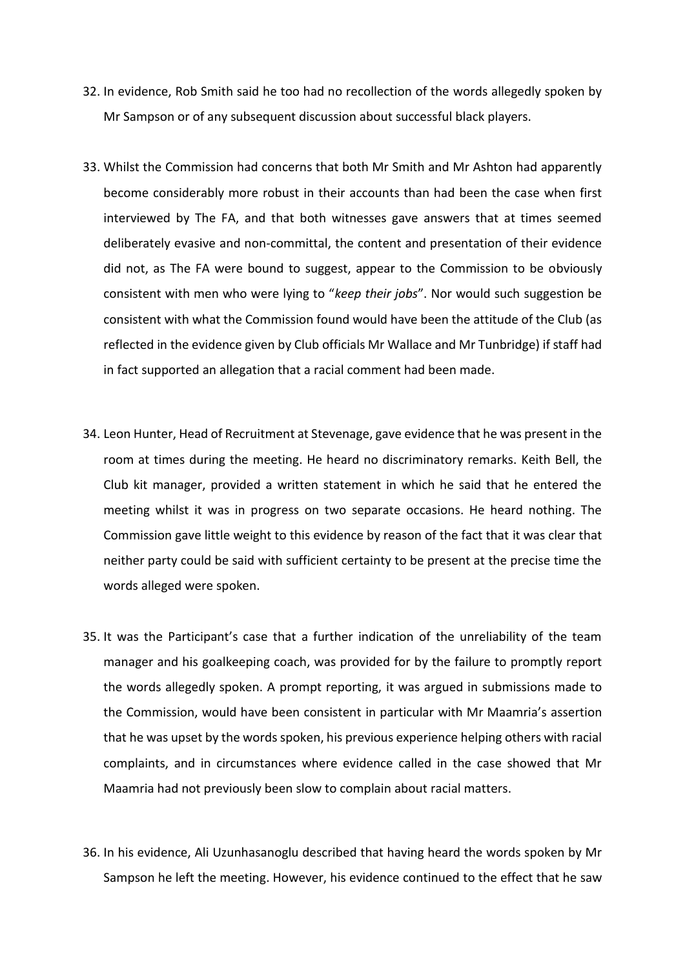- 32. In evidence, Rob Smith said he too had no recollection of the words allegedly spoken by Mr Sampson or of any subsequent discussion about successful black players.
- 33. Whilst the Commission had concerns that both Mr Smith and Mr Ashton had apparently become considerably more robust in their accounts than had been the case when first interviewed by The FA, and that both witnesses gave answers that at times seemed deliberately evasive and non-committal, the content and presentation of their evidence did not, as The FA were bound to suggest, appear to the Commission to be obviously consistent with men who were lying to "*keep their jobs*". Nor would such suggestion be consistent with what the Commission found would have been the attitude of the Club (as reflected in the evidence given by Club officials Mr Wallace and Mr Tunbridge) if staff had in fact supported an allegation that a racial comment had been made.
- 34. Leon Hunter, Head of Recruitment at Stevenage, gave evidence that he was present in the room at times during the meeting. He heard no discriminatory remarks. Keith Bell, the Club kit manager, provided a written statement in which he said that he entered the meeting whilst it was in progress on two separate occasions. He heard nothing. The Commission gave little weight to this evidence by reason of the fact that it was clear that neither party could be said with sufficient certainty to be present at the precise time the words alleged were spoken.
- 35. It was the Participant's case that a further indication of the unreliability of the team manager and his goalkeeping coach, was provided for by the failure to promptly report the words allegedly spoken. A prompt reporting, it was argued in submissions made to the Commission, would have been consistent in particular with Mr Maamria's assertion that he was upset by the words spoken, his previous experience helping others with racial complaints, and in circumstances where evidence called in the case showed that Mr Maamria had not previously been slow to complain about racial matters.
- 36. In his evidence, Ali Uzunhasanoglu described that having heard the words spoken by Mr Sampson he left the meeting. However, his evidence continued to the effect that he saw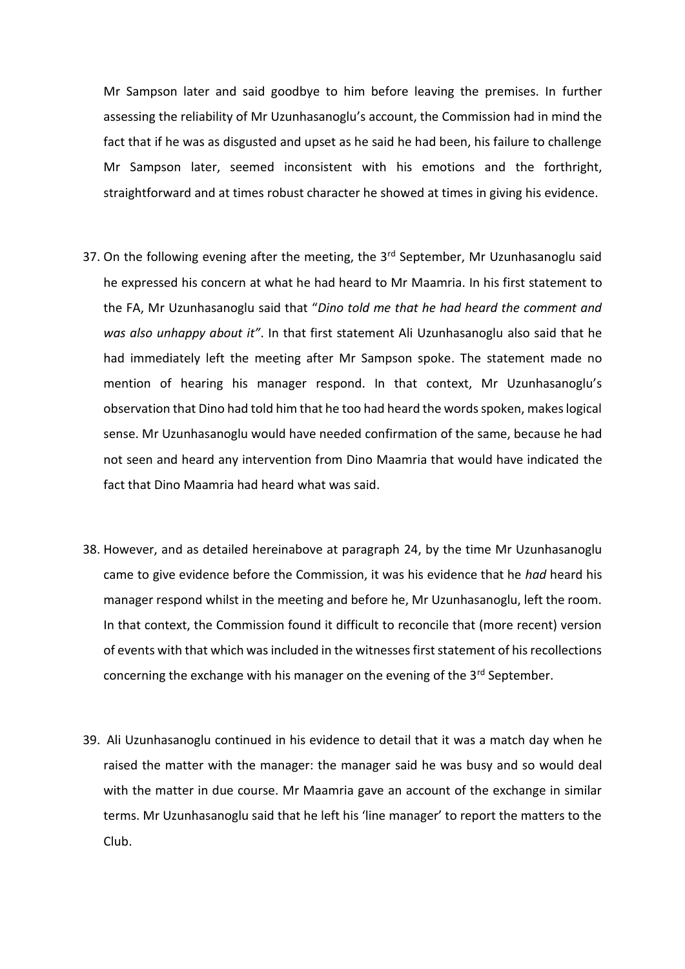Mr Sampson later and said goodbye to him before leaving the premises. In further assessing the reliability of Mr Uzunhasanoglu's account, the Commission had in mind the fact that if he was as disgusted and upset as he said he had been, his failure to challenge Mr Sampson later, seemed inconsistent with his emotions and the forthright, straightforward and at times robust character he showed at times in giving his evidence.

- 37. On the following evening after the meeting, the 3<sup>rd</sup> September, Mr Uzunhasanoglu said he expressed his concern at what he had heard to Mr Maamria. In his first statement to the FA, Mr Uzunhasanoglu said that "*Dino told me that he had heard the comment and was also unhappy about it"*. In that first statement Ali Uzunhasanoglu also said that he had immediately left the meeting after Mr Sampson spoke. The statement made no mention of hearing his manager respond. In that context, Mr Uzunhasanoglu's observation that Dino had told him that he too had heard the words spoken, makes logical sense. Mr Uzunhasanoglu would have needed confirmation of the same, because he had not seen and heard any intervention from Dino Maamria that would have indicated the fact that Dino Maamria had heard what was said.
- 38. However, and as detailed hereinabove at paragraph 24, by the time Mr Uzunhasanoglu came to give evidence before the Commission, it was his evidence that he *had* heard his manager respond whilst in the meeting and before he, Mr Uzunhasanoglu, left the room. In that context, the Commission found it difficult to reconcile that (more recent) version of events with that which was included in the witnesses first statement of his recollections concerning the exchange with his manager on the evening of the 3<sup>rd</sup> September.
- 39. Ali Uzunhasanoglu continued in his evidence to detail that it was a match day when he raised the matter with the manager: the manager said he was busy and so would deal with the matter in due course. Mr Maamria gave an account of the exchange in similar terms. Mr Uzunhasanoglu said that he left his 'line manager' to report the matters to the Club.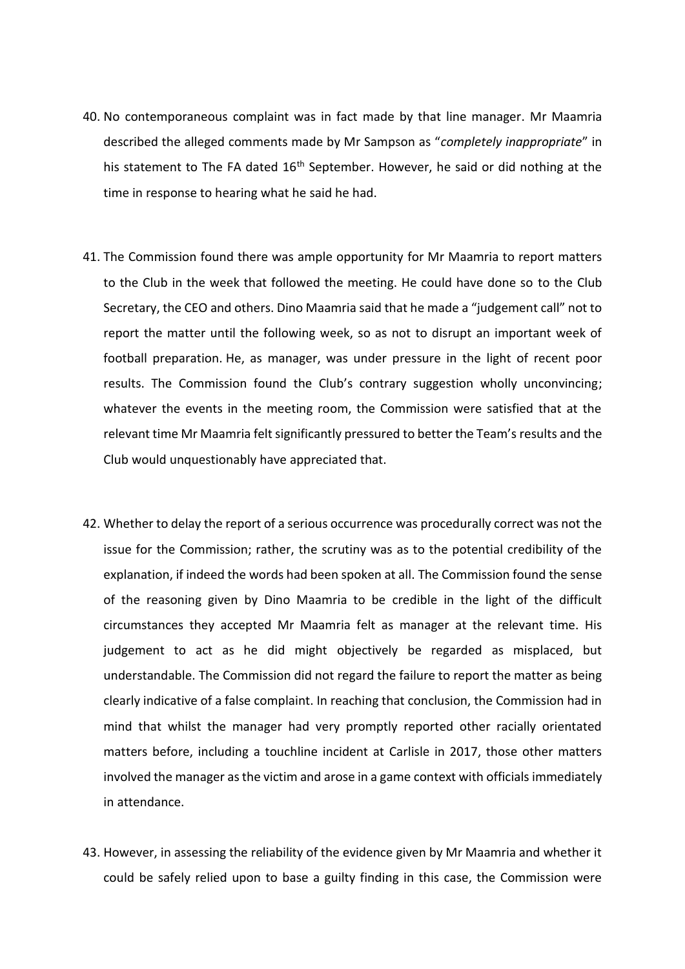- 40. No contemporaneous complaint was in fact made by that line manager. Mr Maamria described the alleged comments made by Mr Sampson as "*completely inappropriate*" in his statement to The FA dated  $16<sup>th</sup>$  September. However, he said or did nothing at the time in response to hearing what he said he had.
- 41. The Commission found there was ample opportunity for Mr Maamria to report matters to the Club in the week that followed the meeting. He could have done so to the Club Secretary, the CEO and others. Dino Maamria said that he made a "judgement call" not to report the matter until the following week, so as not to disrupt an important week of football preparation. He, as manager, was under pressure in the light of recent poor results. The Commission found the Club's contrary suggestion wholly unconvincing; whatever the events in the meeting room, the Commission were satisfied that at the relevant time Mr Maamria felt significantly pressured to better the Team's results and the Club would unquestionably have appreciated that.
- 42. Whether to delay the report of a serious occurrence was procedurally correct was not the issue for the Commission; rather, the scrutiny was as to the potential credibility of the explanation, if indeed the words had been spoken at all. The Commission found the sense of the reasoning given by Dino Maamria to be credible in the light of the difficult circumstances they accepted Mr Maamria felt as manager at the relevant time. His judgement to act as he did might objectively be regarded as misplaced, but understandable. The Commission did not regard the failure to report the matter as being clearly indicative of a false complaint. In reaching that conclusion, the Commission had in mind that whilst the manager had very promptly reported other racially orientated matters before, including a touchline incident at Carlisle in 2017, those other matters involved the manager asthe victim and arose in a game context with officials immediately in attendance.
- 43. However, in assessing the reliability of the evidence given by Mr Maamria and whether it could be safely relied upon to base a guilty finding in this case, the Commission were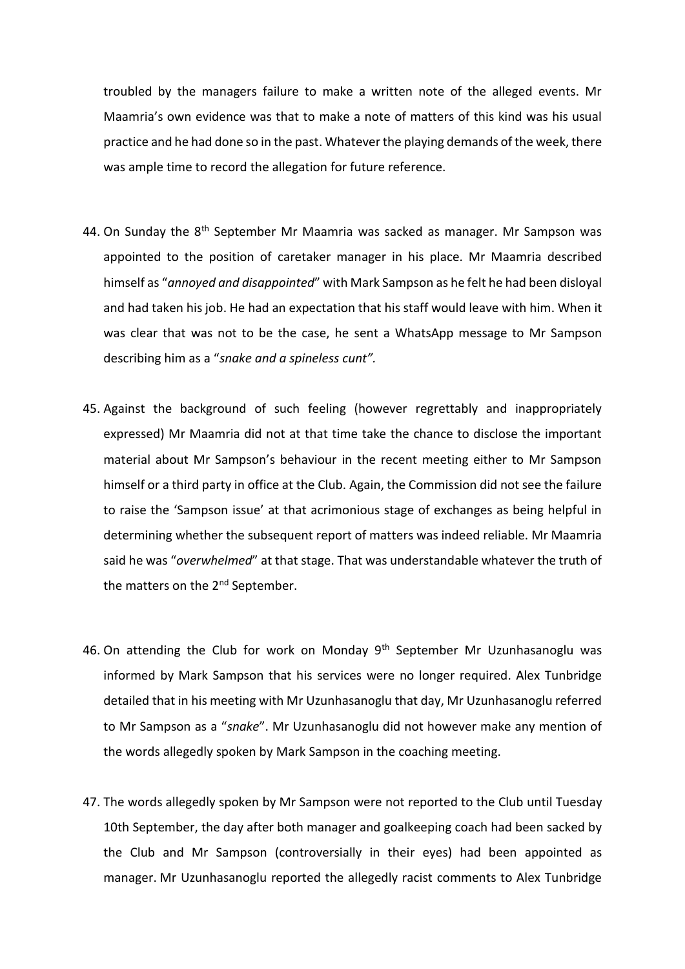troubled by the managers failure to make a written note of the alleged events. Mr Maamria's own evidence was that to make a note of matters of this kind was his usual practice and he had done so in the past. Whatever the playing demands of the week, there was ample time to record the allegation for future reference.

- 44. On Sunday the 8<sup>th</sup> September Mr Maamria was sacked as manager. Mr Sampson was appointed to the position of caretaker manager in his place. Mr Maamria described himself as "*annoyed and disappointed*" with Mark Sampson as he felt he had been disloyal and had taken his job. He had an expectation that his staff would leave with him. When it was clear that was not to be the case, he sent a WhatsApp message to Mr Sampson describing him as a "*snake and a spineless cunt".*
- 45. Against the background of such feeling (however regrettably and inappropriately expressed) Mr Maamria did not at that time take the chance to disclose the important material about Mr Sampson's behaviour in the recent meeting either to Mr Sampson himself or a third party in office at the Club. Again, the Commission did not see the failure to raise the 'Sampson issue' at that acrimonious stage of exchanges as being helpful in determining whether the subsequent report of matters was indeed reliable. Mr Maamria said he was "*overwhelmed*" at that stage. That was understandable whatever the truth of the matters on the 2<sup>nd</sup> September.
- 46. On attending the Club for work on Monday  $9<sup>th</sup>$  September Mr Uzunhasanoglu was informed by Mark Sampson that his services were no longer required. Alex Tunbridge detailed that in his meeting with Mr Uzunhasanoglu that day, Mr Uzunhasanoglu referred to Mr Sampson as a "*snake*". Mr Uzunhasanoglu did not however make any mention of the words allegedly spoken by Mark Sampson in the coaching meeting.
- 47. The words allegedly spoken by Mr Sampson were not reported to the Club until Tuesday 10th September, the day after both manager and goalkeeping coach had been sacked by the Club and Mr Sampson (controversially in their eyes) had been appointed as manager. Mr Uzunhasanoglu reported the allegedly racist comments to Alex Tunbridge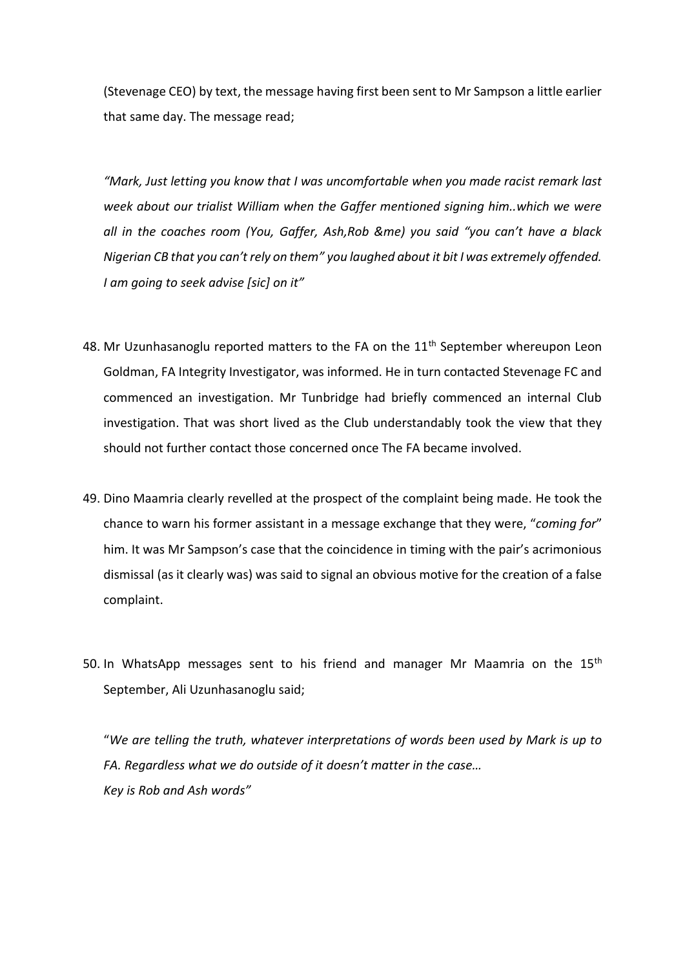(Stevenage CEO) by text, the message having first been sent to Mr Sampson a little earlier that same day. The message read;

*"Mark, Just letting you know that I was uncomfortable when you made racist remark last week about our trialist William when the Gaffer mentioned signing him..which we were all in the coaches room (You, Gaffer, Ash,Rob &me) you said "you can't have a black Nigerian CB that you can't rely on them" you laughed about it bit I was extremely offended. I am going to seek advise [sic] on it"*

- 48. Mr Uzunhasanoglu reported matters to the FA on the  $11<sup>th</sup>$  September whereupon Leon Goldman, FA Integrity Investigator, was informed. He in turn contacted Stevenage FC and commenced an investigation. Mr Tunbridge had briefly commenced an internal Club investigation. That was short lived as the Club understandably took the view that they should not further contact those concerned once The FA became involved.
- 49. Dino Maamria clearly revelled at the prospect of the complaint being made. He took the chance to warn his former assistant in a message exchange that they were, "*coming for*" him. It was Mr Sampson's case that the coincidence in timing with the pair's acrimonious dismissal (as it clearly was) was said to signal an obvious motive for the creation of a false complaint.
- 50. In WhatsApp messages sent to his friend and manager Mr Maamria on the  $15<sup>th</sup>$ September, Ali Uzunhasanoglu said;

"*We are telling the truth, whatever interpretations of words been used by Mark is up to FA. Regardless what we do outside of it doesn't matter in the case… Key is Rob and Ash words"*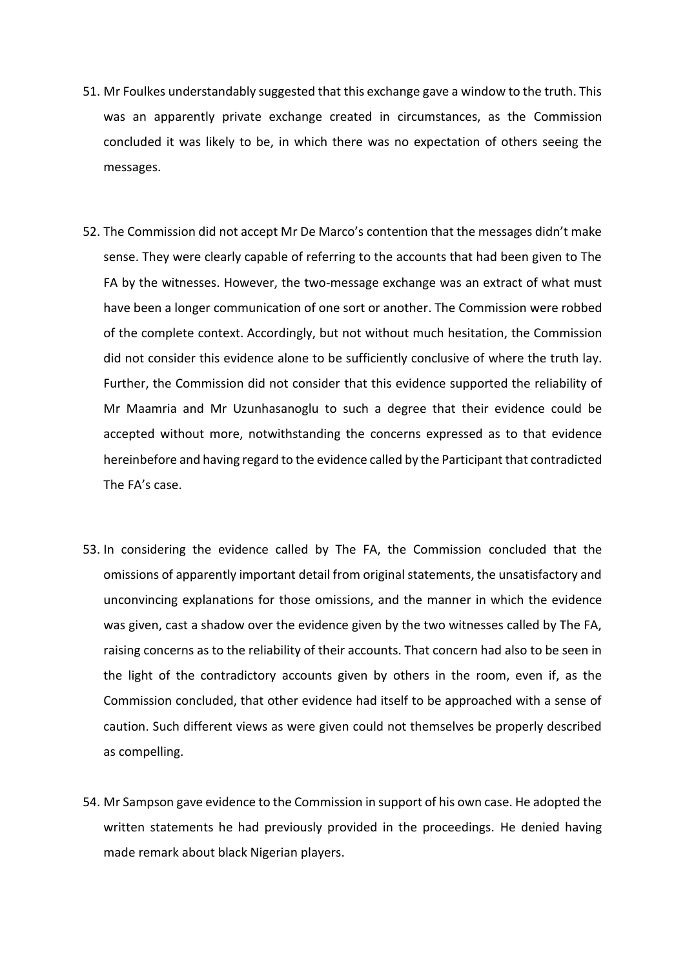- 51. Mr Foulkes understandably suggested that this exchange gave a window to the truth. This was an apparently private exchange created in circumstances, as the Commission concluded it was likely to be, in which there was no expectation of others seeing the messages.
- 52. The Commission did not accept Mr De Marco's contention that the messages didn't make sense. They were clearly capable of referring to the accounts that had been given to The FA by the witnesses. However, the two-message exchange was an extract of what must have been a longer communication of one sort or another. The Commission were robbed of the complete context. Accordingly, but not without much hesitation, the Commission did not consider this evidence alone to be sufficiently conclusive of where the truth lay. Further, the Commission did not consider that this evidence supported the reliability of Mr Maamria and Mr Uzunhasanoglu to such a degree that their evidence could be accepted without more, notwithstanding the concerns expressed as to that evidence hereinbefore and having regard to the evidence called by the Participant that contradicted The FA's case.
- 53. In considering the evidence called by The FA, the Commission concluded that the omissions of apparently important detail from original statements, the unsatisfactory and unconvincing explanations for those omissions, and the manner in which the evidence was given, cast a shadow over the evidence given by the two witnesses called by The FA, raising concerns as to the reliability of their accounts. That concern had also to be seen in the light of the contradictory accounts given by others in the room, even if, as the Commission concluded, that other evidence had itself to be approached with a sense of caution. Such different views as were given could not themselves be properly described as compelling.
- 54. Mr Sampson gave evidence to the Commission in support of his own case. He adopted the written statements he had previously provided in the proceedings. He denied having made remark about black Nigerian players.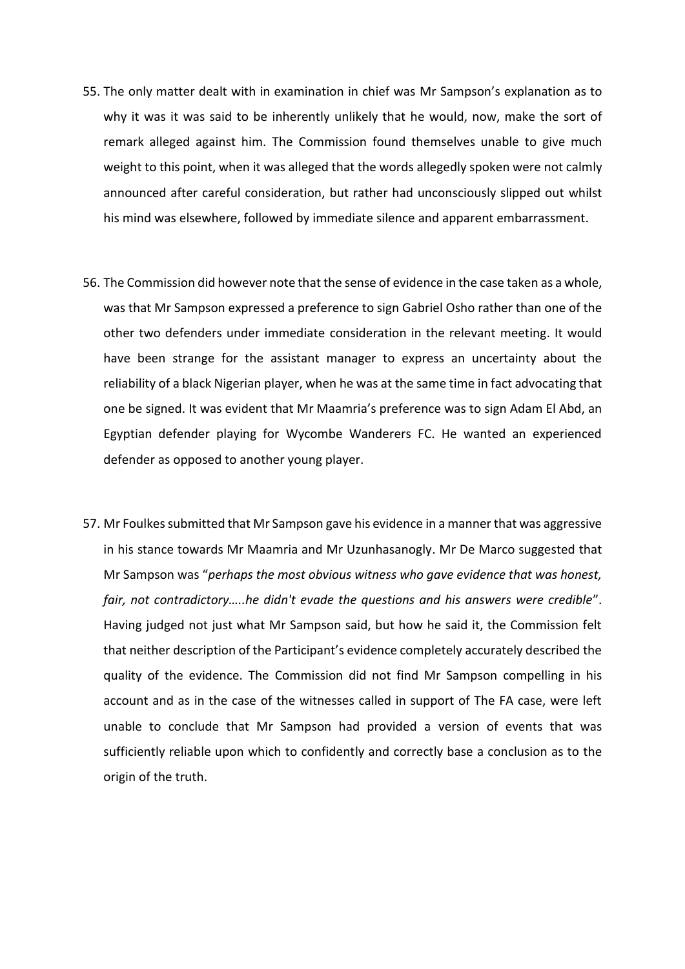- 55. The only matter dealt with in examination in chief was Mr Sampson's explanation as to why it was it was said to be inherently unlikely that he would, now, make the sort of remark alleged against him. The Commission found themselves unable to give much weight to this point, when it was alleged that the words allegedly spoken were not calmly announced after careful consideration, but rather had unconsciously slipped out whilst his mind was elsewhere, followed by immediate silence and apparent embarrassment.
- 56. The Commission did however note that the sense of evidence in the case taken as a whole, was that Mr Sampson expressed a preference to sign Gabriel Osho rather than one of the other two defenders under immediate consideration in the relevant meeting. It would have been strange for the assistant manager to express an uncertainty about the reliability of a black Nigerian player, when he was at the same time in fact advocating that one be signed. It was evident that Mr Maamria's preference was to sign Adam El Abd, an Egyptian defender playing for Wycombe Wanderers FC. He wanted an experienced defender as opposed to another young player.
- 57. Mr Foulkes submitted that Mr Sampson gave his evidence in a manner that was aggressive in his stance towards Mr Maamria and Mr Uzunhasanogly. Mr De Marco suggested that Mr Sampson was "*perhaps the most obvious witness who gave evidence that was honest, fair, not contradictory…..he didn't evade the questions and his answers were credible*". Having judged not just what Mr Sampson said, but how he said it, the Commission felt that neither description of the Participant's evidence completely accurately described the quality of the evidence. The Commission did not find Mr Sampson compelling in his account and as in the case of the witnesses called in support of The FA case, were left unable to conclude that Mr Sampson had provided a version of events that was sufficiently reliable upon which to confidently and correctly base a conclusion as to the origin of the truth.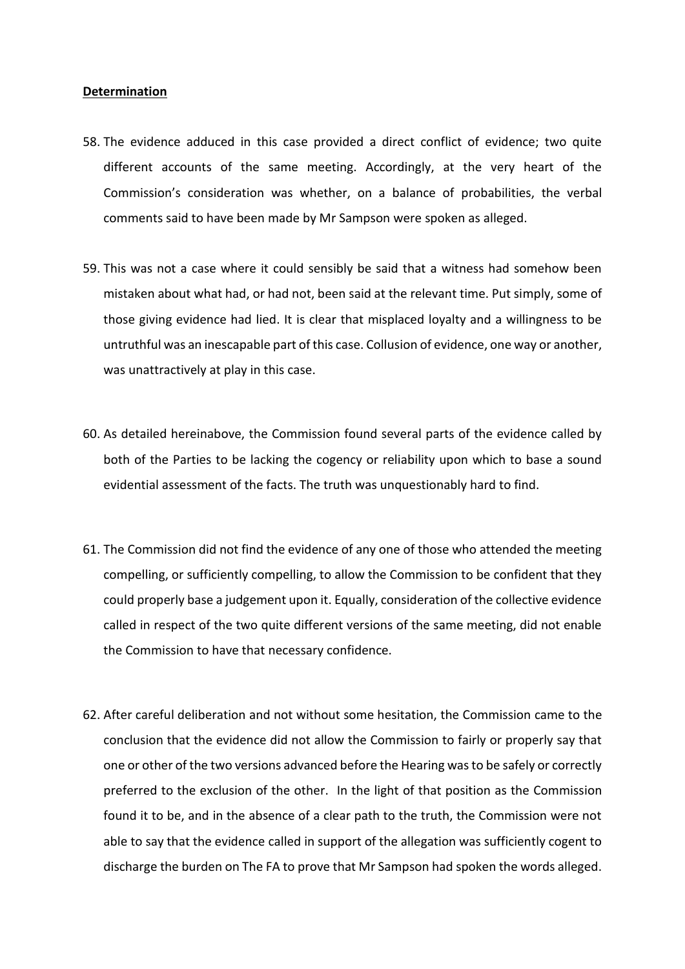#### **Determination**

- 58. The evidence adduced in this case provided a direct conflict of evidence; two quite different accounts of the same meeting. Accordingly, at the very heart of the Commission's consideration was whether, on a balance of probabilities, the verbal comments said to have been made by Mr Sampson were spoken as alleged.
- 59. This was not a case where it could sensibly be said that a witness had somehow been mistaken about what had, or had not, been said at the relevant time. Put simply, some of those giving evidence had lied. It is clear that misplaced loyalty and a willingness to be untruthful was an inescapable part of this case. Collusion of evidence, one way or another, was unattractively at play in this case.
- 60. As detailed hereinabove, the Commission found several parts of the evidence called by both of the Parties to be lacking the cogency or reliability upon which to base a sound evidential assessment of the facts. The truth was unquestionably hard to find.
- 61. The Commission did not find the evidence of any one of those who attended the meeting compelling, or sufficiently compelling, to allow the Commission to be confident that they could properly base a judgement upon it. Equally, consideration of the collective evidence called in respect of the two quite different versions of the same meeting, did not enable the Commission to have that necessary confidence.
- 62. After careful deliberation and not without some hesitation, the Commission came to the conclusion that the evidence did not allow the Commission to fairly or properly say that one or other of the two versions advanced before the Hearing was to be safely or correctly preferred to the exclusion of the other. In the light of that position as the Commission found it to be, and in the absence of a clear path to the truth, the Commission were not able to say that the evidence called in support of the allegation was sufficiently cogent to discharge the burden on The FA to prove that Mr Sampson had spoken the words alleged.